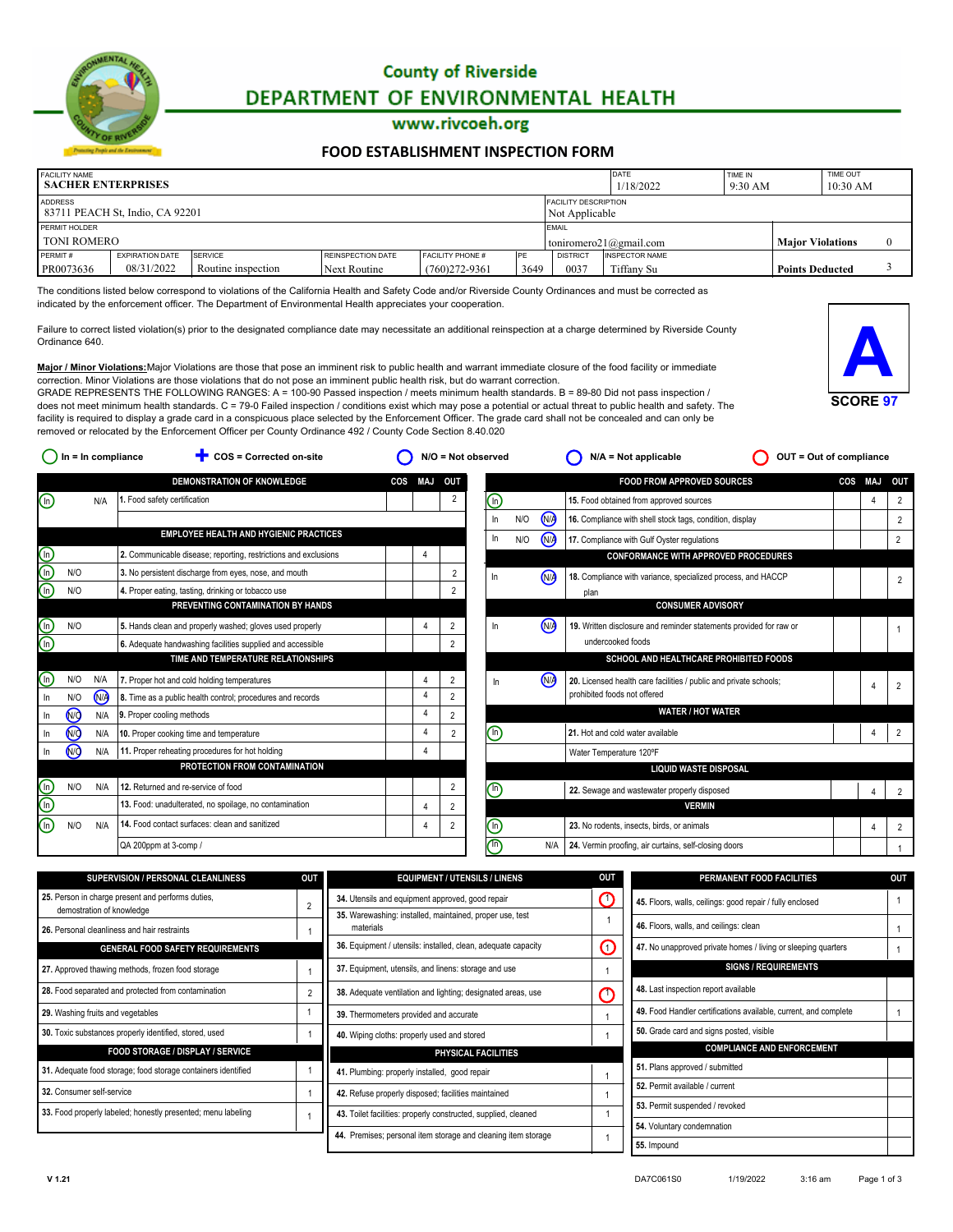

# **County of Riverside** DEPARTMENT OF ENVIRONMENTAL HEALTH

#### www.rivcoeh.org

#### **[FOOD ESTABLISHMENT INSPECTION FORM](http://rivcoeh.org/)**

| <b>FACILITY NAME</b><br><b>SACHER ENTERPRISES</b> |                                 |                    |                   |                         |            |                                               | <b>DATE</b><br>1/18/2022 | TIME IN<br>$9:30$ AM |                         | TIME OUT<br>10:30 AM |  |
|---------------------------------------------------|---------------------------------|--------------------|-------------------|-------------------------|------------|-----------------------------------------------|--------------------------|----------------------|-------------------------|----------------------|--|
| <b>ADDRESS</b>                                    | 83711 PEACH St, Indio, CA 92201 |                    |                   |                         |            | <b>FACILITY DESCRIPTION</b><br>Not Applicable |                          |                      |                         |                      |  |
| PERMIT HOLDER                                     |                                 |                    |                   |                         |            | <b>EMAIL</b>                                  |                          |                      |                         |                      |  |
| <b>TONI ROMERO</b>                                |                                 |                    |                   |                         |            | toniromero21@gmail.com                        |                          |                      | <b>Maior Violations</b> |                      |  |
| PERMIT#                                           | <b>EXPIRATION DATE</b>          | SERVICE            | REINSPECTION DATE | <b>FACILITY PHONE #</b> | <b>IPF</b> | <b>DISTRICT</b>                               | <b>INSPECTOR NAME</b>    |                      |                         |                      |  |
| PR0073636                                         | 08/31/2022                      | Routine inspection | Next Routine      | $(760)272 - 9361$       | 3649       | 0037                                          | Tiffany Su               |                      | <b>Points Deducted</b>  |                      |  |

The conditions listed below correspond to violations of the California Health and Safety Code and/or Riverside County Ordinances and must be corrected as indicated by the enforcement officer. The Department of Environmental Health appreciates your cooperation.

Failure to correct listed violation(s) prior to the designated compliance date may necessitate an additional reinspection at a charge determined by Riverside County Ordinance 640.



**Major / Minor Violations:**Major Violations are those that pose an imminent risk to public health and warrant immediate closure of the food facility or immediate correction. Minor Violations are those violations that do not pose an imminent public health risk, but do warrant correction. GRADE REPRESENTS THE FOLLOWING RANGES:  $A = 100-90$  Passed inspection / meets minimum health standards. B = 89-80 Did not pass inspection /

does not meet minimum health standards. C = 79-0 Failed inspection / conditions exist which may pose a potential or actual threat to public health and safety. The facility is required to display a grade card in a conspicuous place selected by the Enforcement Officer. The grade card shall not be concealed and can only be removed or relocated by the Enforcement Officer per County Ordinance 492 / County Code Section 8.40.020

|                                |                      |      | <b>DEMONSTRATION OF KNOWLEDGE</b>                               | COS | <b>MAJ</b>     | OUT            |                                             |     |      | <b>FOOD FROM APPROVED SOURCES</b>                                  | COS | MAJ | OUT            |
|--------------------------------|----------------------|------|-----------------------------------------------------------------|-----|----------------|----------------|---------------------------------------------|-----|------|--------------------------------------------------------------------|-----|-----|----------------|
| $\textcircled{\scriptsize{1}}$ |                      | N/A  | 1. Food safety certification                                    |     |                | 2              | ⋒                                           |     |      | 15. Food obtained from approved sources                            |     |     | $\overline{2}$ |
|                                |                      |      |                                                                 |     |                |                | In                                          | N/O | (NA  | 16. Compliance with shell stock tags, condition, display           |     |     | $\overline{2}$ |
|                                |                      |      | <b>EMPLOYEE HEALTH AND HYGIENIC PRACTICES</b>                   |     |                |                | In                                          | N/O | (N/A | 17. Compliance with Gulf Oyster regulations                        |     |     | $\overline{2}$ |
|                                |                      |      | 2. Communicable disease; reporting, restrictions and exclusions |     |                |                |                                             |     |      | <b>CONFORMANCE WITH APPROVED PROCEDURES</b>                        |     |     |                |
| elele                          | N/O                  |      | 3. No persistent discharge from eyes, nose, and mouth           |     |                | $\overline{2}$ | In                                          |     | (N/A | 18. Compliance with variance, specialized process, and HACCP       |     |     | $\overline{2}$ |
|                                | N/O                  |      | 4. Proper eating, tasting, drinking or tobacco use              |     |                | $\overline{2}$ |                                             |     |      | plan                                                               |     |     |                |
|                                |                      |      | PREVENTING CONTAMINATION BY HANDS                               |     |                |                |                                             |     |      | <b>CONSUMER ADVISORY</b>                                           |     |     |                |
| (චලි                           | N/O                  |      | 5. Hands clean and properly washed; gloves used properly        |     |                | $\overline{2}$ | In                                          |     | (N/A | 19. Written disclosure and reminder statements provided for raw or |     |     |                |
|                                |                      |      | 6. Adequate handwashing facilities supplied and accessible      |     |                | $\overline{2}$ |                                             |     |      | undercooked foods                                                  |     |     |                |
|                                |                      |      | TIME AND TEMPERATURE RELATIONSHIPS                              |     |                |                |                                             |     |      | SCHOOL AND HEALTHCARE PROHIBITED FOODS                             |     |     |                |
| ⊕                              | N/O                  | N/A  | 7. Proper hot and cold holding temperatures                     |     |                | $\overline{2}$ | In                                          |     | (N/A | 20. Licensed health care facilities / public and private schools;  |     |     |                |
| ln.                            | N/O                  | (N/A | 8. Time as a public health control; procedures and records      |     | $\overline{4}$ | $\overline{2}$ |                                             |     |      | prohibited foods not offered                                       |     |     |                |
| In                             | <b>N<sub>O</sub></b> | N/A  | 9. Proper cooling methods                                       |     |                | $\overline{2}$ |                                             |     |      | <b>WATER / HOT WATER</b>                                           |     |     |                |
| ln.                            | <b>MO</b>            | N/A  | 10. Proper cooking time and temperature                         |     |                | $\overline{2}$ | $\mathbb{G}% _{M_{1},M_{2}}^{\alpha,\beta}$ |     |      | 21. Hot and cold water available                                   |     |     |                |
| In                             | <b>NO</b>            | N/A  | 11. Proper reheating procedures for hot holding                 |     |                |                |                                             |     |      | Water Temperature 120°F                                            |     |     |                |
|                                |                      |      | PROTECTION FROM CONTAMINATION                                   |     |                |                |                                             |     |      | <b>LIQUID WASTE DISPOSAL</b>                                       |     |     |                |
| (මලි                           | N/O                  | N/A  | 12. Returned and re-service of food                             |     |                | $\overline{2}$ | 哂                                           |     |      | 22. Sewage and wastewater properly disposed                        |     |     | 2              |
|                                |                      |      | 13. Food: unadulterated, no spoilage, no contamination          |     |                | $\overline{2}$ |                                             |     |      | <b>VERMIN</b>                                                      |     |     |                |
| (n)                            | N/O                  | N/A  | 14. Food contact surfaces: clean and sanitized                  |     |                | $\overline{2}$ | ⊕                                           |     |      | 23. No rodents, insects, birds, or animals                         |     | 4   | $\overline{2}$ |
|                                |                      |      | QA 200ppm at 3-comp /                                           |     |                |                | n                                           |     | N/A  | 24. Vermin proofing, air curtains, self-closing doors              |     |     |                |
|                                |                      |      |                                                                 |     |                |                |                                             |     |      |                                                                    |     |     |                |

**Our = In compliance Exerced on-site O** N/O = Not observed **O** N/A = Not applicable **O** OUT = Out of compliance

| <b>SUPERVISION / PERSONAL CLEANLINESS</b>                                      | <b>OUT</b> | <b>EQUIPMENT / UTENSILS / LINENS</b>                                  | <b>OUT</b> | PERMANENT FOOD FACILITIES                                        | <b>OUT</b> |
|--------------------------------------------------------------------------------|------------|-----------------------------------------------------------------------|------------|------------------------------------------------------------------|------------|
| 25. Person in charge present and performs duties,<br>demostration of knowledge |            | 34. Utensils and equipment approved, good repair                      | C          | 45. Floors, walls, ceilings: good repair / fully enclosed        |            |
| 26. Personal cleanliness and hair restraints                                   |            | 35. Warewashing: installed, maintained, proper use, test<br>materials |            | 46. Floors, walls, and ceilings: clean                           |            |
| <b>GENERAL FOOD SAFETY REQUIREMENTS</b>                                        |            | 36. Equipment / utensils: installed, clean, adequate capacity         | ∩          | 47. No unapproved private homes / living or sleeping quarters    |            |
| 27. Approved thawing methods, frozen food storage                              |            | 37. Equipment, utensils, and linens: storage and use                  |            | <b>SIGNS / REQUIREMENTS</b>                                      |            |
| 28. Food separated and protected from contamination                            |            | 38. Adequate ventilation and lighting; designated areas, use          | ∩          | 48. Last inspection report available                             |            |
| 29. Washing fruits and vegetables                                              |            | 39. Thermometers provided and accurate                                |            | 49. Food Handler certifications available, current, and complete |            |
| 30. Toxic substances properly identified, stored, used                         |            | 40. Wiping cloths: properly used and stored                           |            | 50. Grade card and signs posted, visible                         |            |
| <b>FOOD STORAGE / DISPLAY / SERVICE</b>                                        |            | PHYSICAL FACILITIES                                                   |            | <b>COMPLIANCE AND ENFORCEMENT</b>                                |            |
| 31. Adequate food storage; food storage containers identified                  |            | 41. Plumbing: properly installed, good repair                         |            | 51. Plans approved / submitted                                   |            |
| 32. Consumer self-service                                                      |            | 42. Refuse properly disposed; facilities maintained                   |            | 52. Permit available / current                                   |            |
|                                                                                |            |                                                                       |            | 53. Permit suspended / revoked                                   |            |
| 33. Food properly labeled; honestly presented; menu labeling                   |            | 43. Toilet facilities: properly constructed, supplied, cleaned        |            | 54. Voluntary condemnation                                       |            |
|                                                                                |            | 44. Premises; personal item storage and cleaning item storage         |            |                                                                  |            |
|                                                                                |            |                                                                       |            | 55. Impound                                                      |            |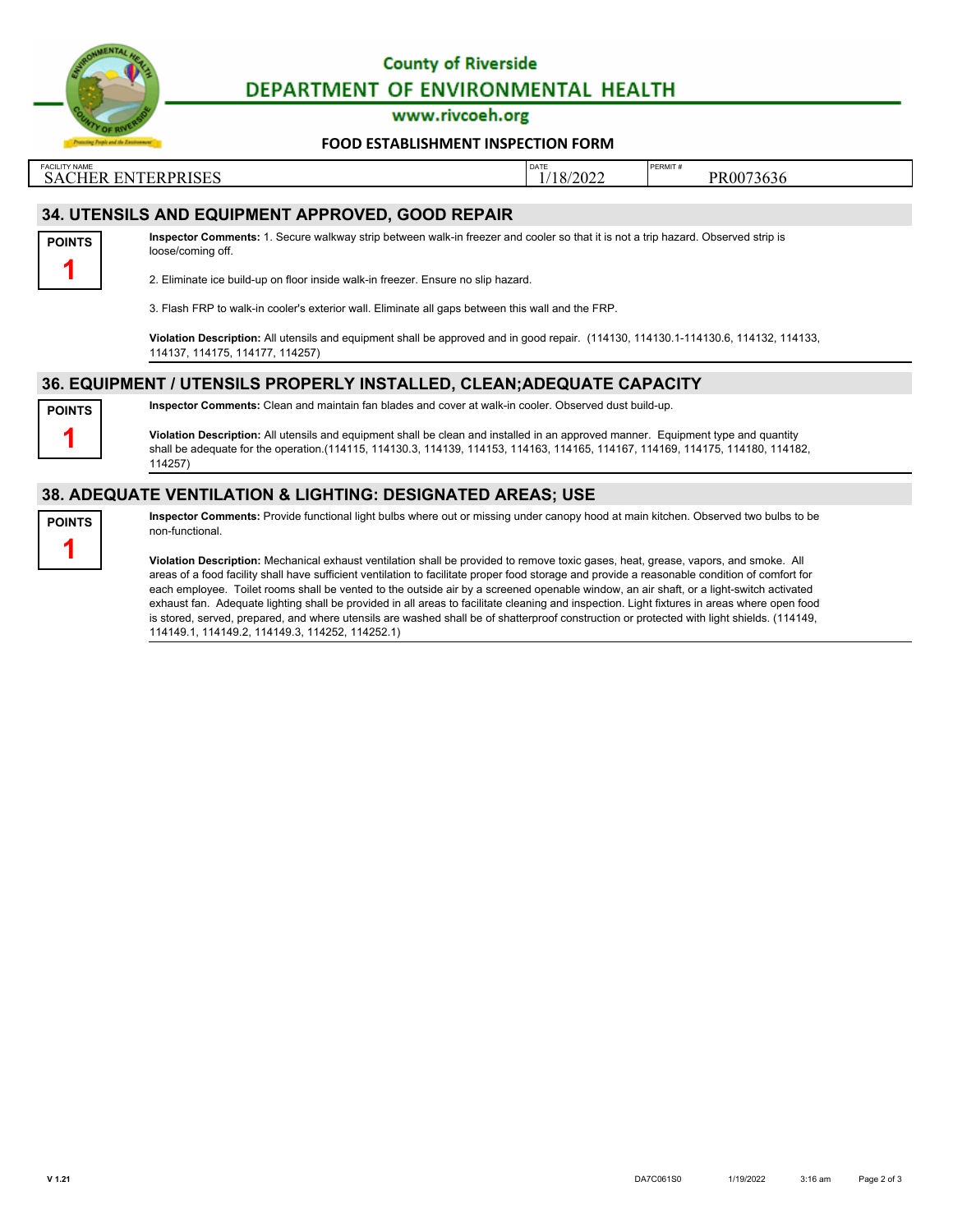

## **County of Riverside** DEPARTMENT OF ENVIRONMENTAL HEALTH

www.rivcoeh.org

#### **[FOOD ESTABLISHMENT INSPECTION FORM](http://rivcoeh.org/)**

FACILITY NAME PERMIT # PERMIT # PERMIT # PERMIT # PERMIT # PERMIT # PERMIT # PERMIT # PERMIT # PERMIT # PERMIT # PERMIT # PERMIT # PERMIT # PERMIT # PERMIT # PERMIT # PERMIT # PERMIT # PERMIT # PERMIT # PERMIT # PERMIT # P SACHER ENTERPRISES 1/18/2022 PR0073636

### **34. UTENSILS AND EQUIPMENT APPROVED, GOOD REPAIR**



**Inspector Comments:** 1. Secure walkway strip between walk-in freezer and cooler so that it is not a trip hazard. Observed strip is loose/coming off.

2. Eliminate ice build-up on floor inside walk-in freezer. Ensure no slip hazard.

3. Flash FRP to walk-in cooler's exterior wall. Eliminate all gaps between this wall and the FRP.

**Violation Description:** All utensils and equipment shall be approved and in good repair. (114130, 114130.1-114130.6, 114132, 114133, 114137, 114175, 114177, 114257)

## **36. EQUIPMENT / UTENSILS PROPERLY INSTALLED, CLEAN;ADEQUATE CAPACITY**



**Inspector Comments:** Clean and maintain fan blades and cover at walk-in cooler. Observed dust build-up.

**Violation Description:** All utensils and equipment shall be clean and installed in an approved manner. Equipment type and quantity shall be adequate for the operation.(114115, 114130.3, 114139, 114153, 114163, 114165, 114167, 114169, 114175, 114180, 114182, 114257)

### **38. ADEQUATE VENTILATION & LIGHTING: DESIGNATED AREAS; USE**



**Inspector Comments:** Provide functional light bulbs where out or missing under canopy hood at main kitchen. Observed two bulbs to be non-functional.

**Violation Description:** Mechanical exhaust ventilation shall be provided to remove toxic gases, heat, grease, vapors, and smoke. All areas of a food facility shall have sufficient ventilation to facilitate proper food storage and provide a reasonable condition of comfort for each employee. Toilet rooms shall be vented to the outside air by a screened openable window, an air shaft, or a light-switch activated exhaust fan. Adequate lighting shall be provided in all areas to facilitate cleaning and inspection. Light fixtures in areas where open food is stored, served, prepared, and where utensils are washed shall be of shatterproof construction or protected with light shields. (114149, 114149.1, 114149.2, 114149.3, 114252, 114252.1)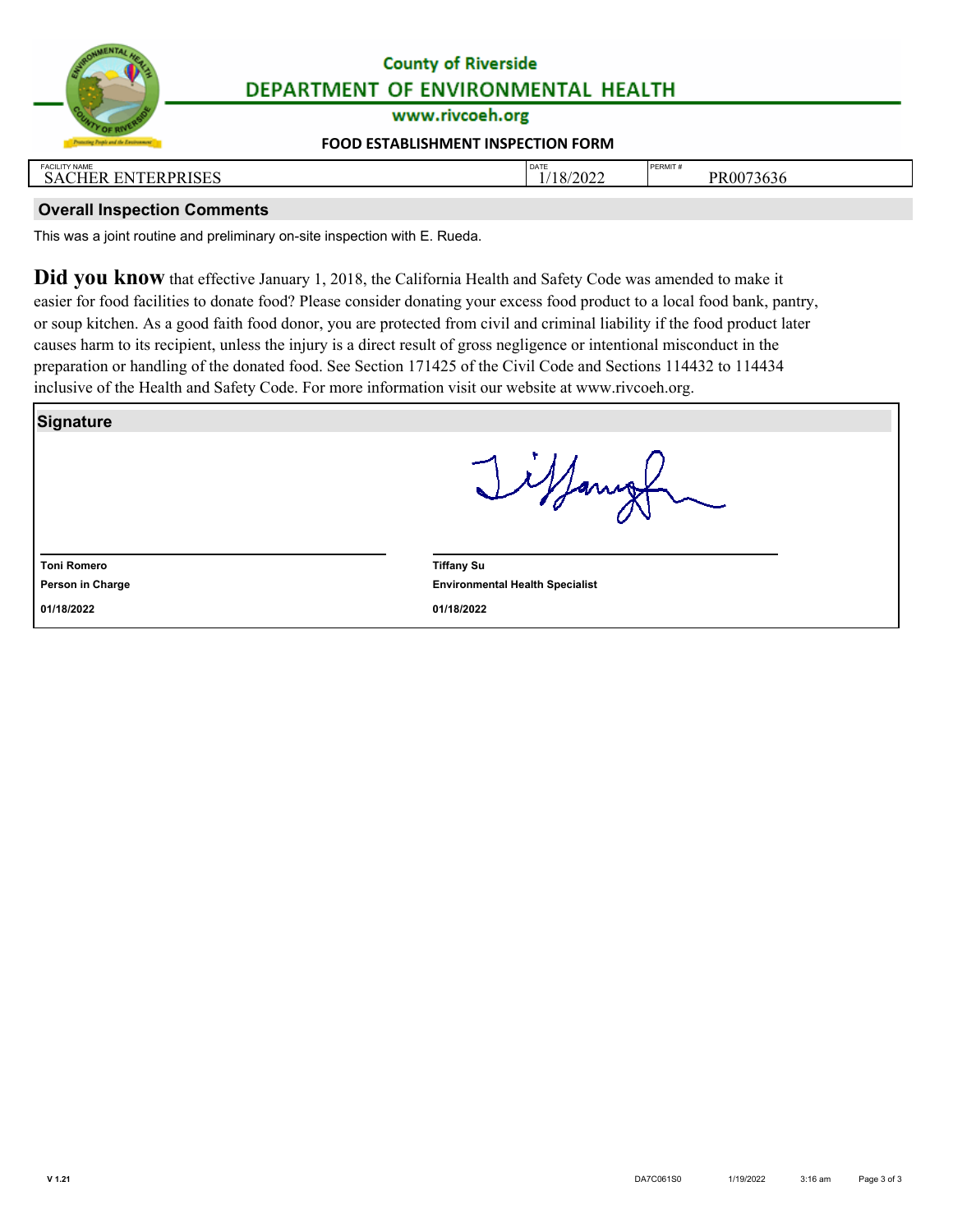| ENTAL HEAL<br>VRC |
|-------------------|
|                   |
| 22                |
| OF F              |

# **County of Riverside** DEPARTMENT OF ENVIRONMENTAL HEALTH

www.rivcoeh.org

### **[FOOD ESTABLISHMENT INSPECTION FORM](http://rivcoeh.org/)**

| <b>FACILITY NAME</b>                                     | <b>DATE</b>                 | <b>PERMIT</b>             |
|----------------------------------------------------------|-----------------------------|---------------------------|
| <b>TERPRISES</b><br>$-$<br><b>EN</b><br>' HER EN<br>5A€. | 1202<br>v<br>2022<br>$\sim$ | $\sim$<br>PR0073<br>75636 |
|                                                          |                             |                           |

## **Overall Inspection Comments**

This was a joint routine and preliminary on-site inspection with E. Rueda.

**Did you know** that effective January 1, 2018, the California Health and Safety Code was amended to make it easier for food facilities to donate food? Please consider donating your excess food product to a local food bank, pantry, or soup kitchen. As a good faith food donor, you are protected from civil and criminal liability if the food product later causes harm to its recipient, unless the injury is a direct result of gross negligence or intentional misconduct in the preparation or handling of the donated food. See Section 171425 of the Civil Code and Sections 114432 to 114434 inclusive of the Health and Safety Code. For more information visit our website at www.rivcoeh.org.

|                    | Ilfanigh                               |
|--------------------|----------------------------------------|
|                    |                                        |
| <b>Toni Romero</b> | <b>Tiffany Su</b>                      |
| Person in Charge   | <b>Environmental Health Specialist</b> |